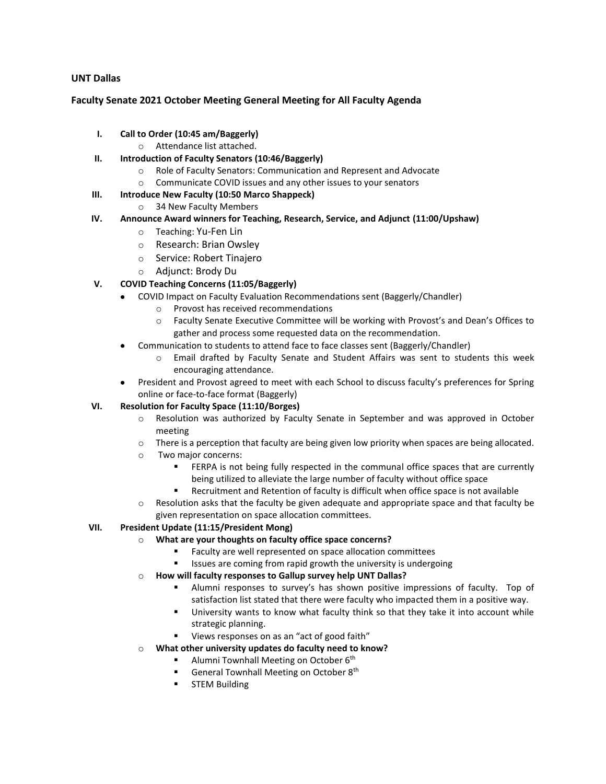## **UNT Dallas**

#### **Faculty Senate 2021 October Meeting General Meeting for All Faculty Agenda**

- **I. Call to Order (10:45 am/Baggerly)**
	- o Attendance list attached.
- **II. Introduction of Faculty Senators (10:46/Baggerly)**
	- o Role of Faculty Senators: Communication and Represent and Advocate
	- o Communicate COVID issues and any other issues to your senators
- **III. Introduce New Faculty (10:50 Marco Shappeck)**
	- o 34 New Faculty Members

# **IV. Announce Award winners for Teaching, Research, Service, and Adjunct (11:00/Upshaw)**

- o Teaching: Yu-Fen Lin
- o Research: Brian Owsley
- o Service: Robert Tinajero
- o Adjunct: Brody Du

# **V. COVID Teaching Concerns (11:05/Baggerly)**

- COVID Impact on Faculty Evaluation Recommendations sent (Baggerly/Chandler)
	- o Provost has received recommendations
	- o Faculty Senate Executive Committee will be working with Provost's and Dean's Offices to gather and process some requested data on the recommendation.
- Communication to students to attend face to face classes sent (Baggerly/Chandler)
	- o Email drafted by Faculty Senate and Student Affairs was sent to students this week encouraging attendance.
- President and Provost agreed to meet with each School to discuss faculty's preferences for Spring online or face-to-face format (Baggerly)

## **VI. Resolution for Faculty Space (11:10/Borges)**

- o Resolution was authorized by Faculty Senate in September and was approved in October meeting
- o There is a perception that faculty are being given low priority when spaces are being allocated.
- o Two major concerns:
	- FERPA is not being fully respected in the communal office spaces that are currently being utilized to alleviate the large number of faculty without office space
	- Recruitment and Retention of faculty is difficult when office space is not available
- o Resolution asks that the faculty be given adequate and appropriate space and that faculty be given representation on space allocation committees.

## **VII. President Update (11:15/President Mong)**

- o **What are your thoughts on faculty office space concerns?**
	- Faculty are well represented on space allocation committees
	- Issues are coming from rapid growth the university is undergoing

## o **How will faculty responses to Gallup survey help UNT Dallas?**

- Alumni responses to survey's has shown positive impressions of faculty. Top of satisfaction list stated that there were faculty who impacted them in a positive way.
- **■** University wants to know what faculty think so that they take it into account while strategic planning.
- Views responses on as an "act of good faith"
- o **What other university updates do faculty need to know?**
	- **■** Alumni Townhall Meeting on October  $6<sup>th</sup>$
	- General Townhall Meeting on October 8<sup>th</sup>
	- **■** STEM Building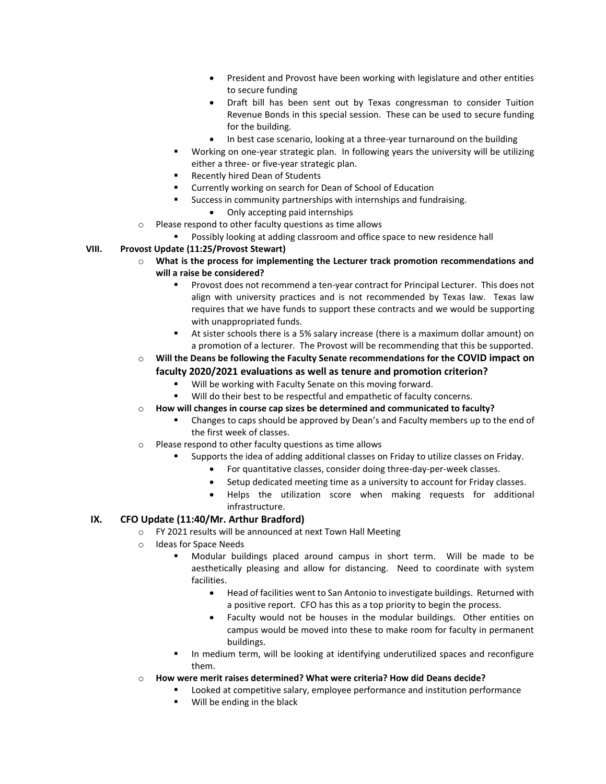- President and Provost have been working with legislature and other entities to secure funding
- Draft bill has been sent out by Texas congressman to consider Tuition Revenue Bonds in this special session. These can be used to secure funding for the building.
- In best case scenario, looking at a three-year turnaround on the building
- Working on one-year strategic plan. In following years the university will be utilizing either a three- or five-year strategic plan.
- **Recently hired Dean of Students**
- Currently working on search for Dean of School of Education
- Success in community partnerships with internships and fundraising.
	- Only accepting paid internships
- o Please respond to other faculty questions as time allows
	- Possibly looking at adding classroom and office space to new residence hall

#### **VIII. Provost Update (11:25/Provost Stewart)**

- o **What is the process for implementing the Lecturer track promotion recommendations and will a raise be considered?**
	- Provost does not recommend a ten-year contract for Principal Lecturer. This does not align with university practices and is not recommended by Texas law. Texas law requires that we have funds to support these contracts and we would be supporting with unappropriated funds.
	- At sister schools there is a 5% salary increase (there is a maximum dollar amount) on a promotion of a lecturer. The Provost will be recommending that this be supported.

#### o **Will the Deans be following the Faculty Senate recommendations for the COVID impact on faculty 2020/2021 evaluations as well as tenure and promotion criterion?**

- Will be working with Faculty Senate on this moving forward.
- Will do their best to be respectful and empathetic of faculty concerns.

## o **How will changes in course cap sizes be determined and communicated to faculty?**

- **EXECO ADDER** Changes to caps should be approved by Dean's and Faculty members up to the end of the first week of classes.
- o Please respond to other faculty questions as time allows
	- Supports the idea of adding additional classes on Friday to utilize classes on Friday.
		- For quantitative classes, consider doing three-day-per-week classes.
		- Setup dedicated meeting time as a university to account for Friday classes.
		- Helps the utilization score when making requests for additional infrastructure.

## **IX. CFO Update (11:40/Mr. Arthur Bradford)**

- o FY 2021 results will be announced at next Town Hall Meeting
- o Ideas for Space Needs
	- Modular buildings placed around campus in short term. Will be made to be aesthetically pleasing and allow for distancing. Need to coordinate with system facilities.
		- Head of facilities went to San Antonio to investigate buildings. Returned with a positive report. CFO has this as a top priority to begin the process.
		- Faculty would not be houses in the modular buildings. Other entities on campus would be moved into these to make room for faculty in permanent buildings.
	- In medium term, will be looking at identifying underutilized spaces and reconfigure them.
- o **How were merit raises determined? What were criteria? How did Deans decide?**
	- Looked at competitive salary, employee performance and institution performance
	- Will be ending in the black